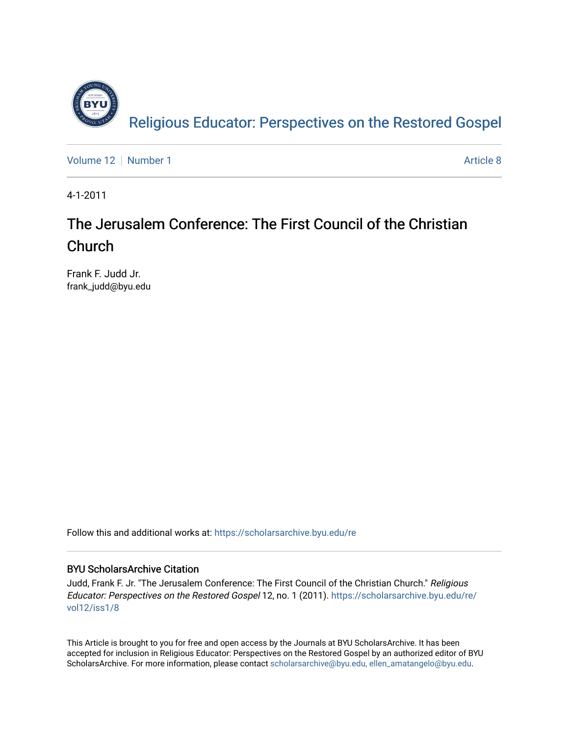

[Volume 12](https://scholarsarchive.byu.edu/re/vol12) [Number 1](https://scholarsarchive.byu.edu/re/vol12/iss1) Article 8

4-1-2011

# The Jerusalem Conference: The First Council of the Christian Church

Frank F. Judd Jr. frank\_judd@byu.edu

Follow this and additional works at: [https://scholarsarchive.byu.edu/re](https://scholarsarchive.byu.edu/re?utm_source=scholarsarchive.byu.edu%2Fre%2Fvol12%2Fiss1%2F8&utm_medium=PDF&utm_campaign=PDFCoverPages)

## BYU ScholarsArchive Citation

Judd, Frank F. Jr. "The Jerusalem Conference: The First Council of the Christian Church." Religious Educator: Perspectives on the Restored Gospel 12, no. 1 (2011). [https://scholarsarchive.byu.edu/re/](https://scholarsarchive.byu.edu/re/vol12/iss1/8?utm_source=scholarsarchive.byu.edu%2Fre%2Fvol12%2Fiss1%2F8&utm_medium=PDF&utm_campaign=PDFCoverPages) [vol12/iss1/8](https://scholarsarchive.byu.edu/re/vol12/iss1/8?utm_source=scholarsarchive.byu.edu%2Fre%2Fvol12%2Fiss1%2F8&utm_medium=PDF&utm_campaign=PDFCoverPages)

This Article is brought to you for free and open access by the Journals at BYU ScholarsArchive. It has been accepted for inclusion in Religious Educator: Perspectives on the Restored Gospel by an authorized editor of BYU ScholarsArchive. For more information, please contact [scholarsarchive@byu.edu, ellen\\_amatangelo@byu.edu.](mailto:scholarsarchive@byu.edu,%20ellen_amatangelo@byu.edu)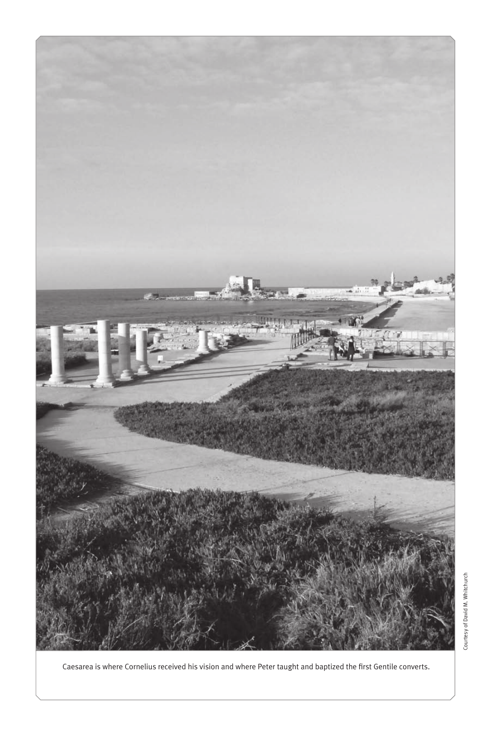

Caesarea is where Cornelius received his vision and where Peter taught and baptized the first Gentile converts.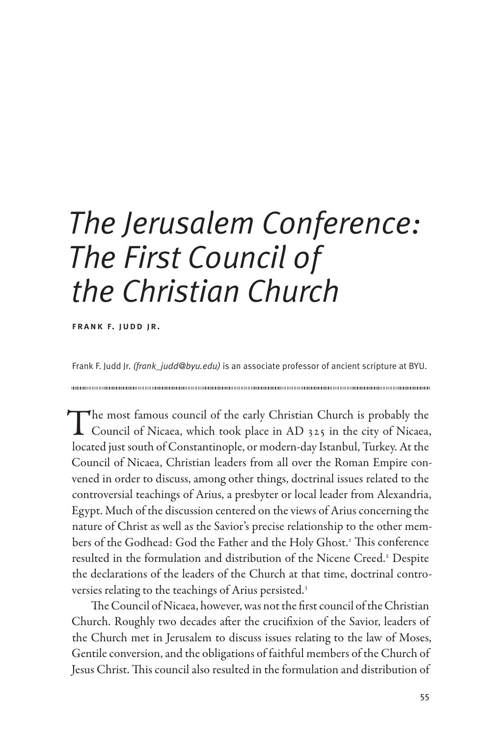# *The Jerusalem Conference: The First Council of the Christian Church*

frank f. judd jr.

Frank F. Judd Jr. *(frank\_judd@byu.edu)* is an associate professor of ancient scripture at BYU.

The most famous council of the early Christian Church is probably the<br>Council of Nicaea, which took place in AD 325 in the city of Nicaea, located just south of Constantinople, or modern-day Istanbul, Turkey. At the Council of Nicaea, Christian leaders from all over the Roman Empire convened in order to discuss, among other things, doctrinal issues related to the controversial teachings of Arius, a presbyter or local leader from Alexandria, Egypt. Much of the discussion centered on the views of Arius concerning the nature of Christ as well as the Savior's precise relationship to the other members of the Godhead: God the Father and the Holy Ghost.<sup>1</sup> This conference resulted in the formulation and distribution of the Nicene Creed.<sup>2</sup> Despite the declarations of the leaders of the Church at that time, doctrinal controversies relating to the teachings of Arius persisted.<sup>3</sup>

The Council of Nicaea, however, was not the first council of the Christian Church. Roughly two decades after the crucifixion of the Savior, leaders of the Church met in Jerusalem to discuss issues relating to the law of Moses, Gentile conversion, and the obligations of faithful members of the Church of Jesus Christ. This council also resulted in the formulation and distribution of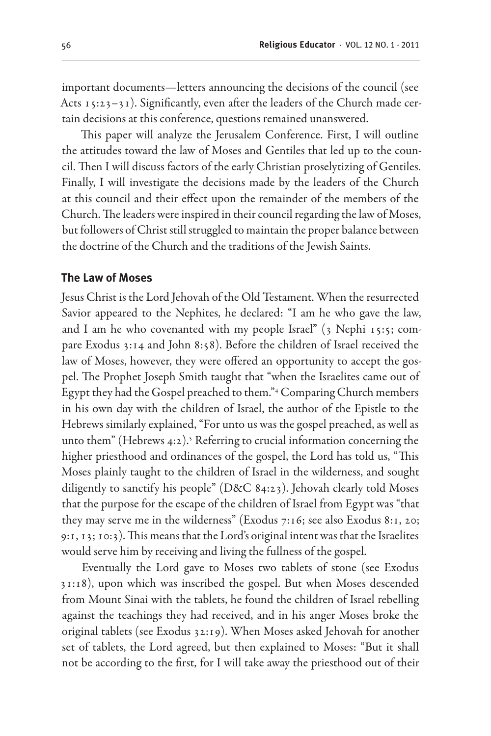important documents—letters announcing the decisions of the council (see Acts 15:23–31). Significantly, even after the leaders of the Church made certain decisions at this conference, questions remained unanswered.

This paper will analyze the Jerusalem Conference. First, I will outline the attitudes toward the law of Moses and Gentiles that led up to the council. Then I will discuss factors of the early Christian proselytizing of Gentiles. Finally, I will investigate the decisions made by the leaders of the Church at this council and their effect upon the remainder of the members of the Church. The leaders were inspired in their council regarding the law of Moses, but followers of Christ still struggled to maintain the proper balance between the doctrine of the Church and the traditions of the Jewish Saints.

#### **The Law of Moses**

Jesus Christ is the Lord Jehovah of the Old Testament. When the resurrected Savior appeared to the Nephites, he declared: "I am he who gave the law, and I am he who covenanted with my people Israel" (3 Nephi 15:5; compare Exodus 3:14 and John 8:58). Before the children of Israel received the law of Moses, however, they were offered an opportunity to accept the gospel. The Prophet Joseph Smith taught that "when the Israelites came out of Egypt they had the Gospel preached to them."4 Comparing Church members in his own day with the children of Israel, the author of the Epistle to the Hebrews similarly explained, "For unto us was the gospel preached, as well as unto them" (Hebrews 4:2).<sup>5</sup> Referring to crucial information concerning the higher priesthood and ordinances of the gospel, the Lord has told us, "This Moses plainly taught to the children of Israel in the wilderness, and sought diligently to sanctify his people" (D&C 84:23). Jehovah clearly told Moses that the purpose for the escape of the children of Israel from Egypt was "that they may serve me in the wilderness" (Exodus 7:16; see also Exodus 8:1, 20; 9:1, 13; 10:3). This means that the Lord's original intent was that the Israelites would serve him by receiving and living the fullness of the gospel.

Eventually the Lord gave to Moses two tablets of stone (see Exodus 31:18), upon which was inscribed the gospel. But when Moses descended from Mount Sinai with the tablets, he found the children of Israel rebelling against the teachings they had received, and in his anger Moses broke the original tablets (see Exodus 32:19). When Moses asked Jehovah for another set of tablets, the Lord agreed, but then explained to Moses: "But it shall not be according to the first, for I will take away the priesthood out of their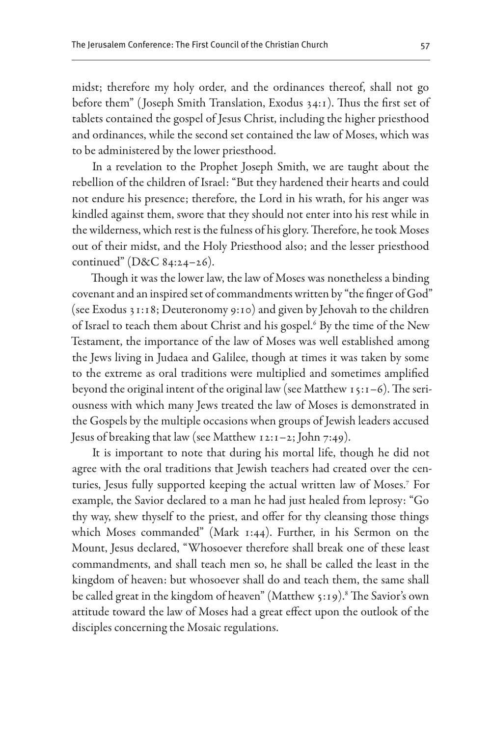midst; therefore my holy order, and the ordinances thereof, shall not go before them" ( Joseph Smith Translation, Exodus 34:1). Thus the first set of tablets contained the gospel of Jesus Christ, including the higher priesthood and ordinances, while the second set contained the law of Moses, which was to be administered by the lower priesthood.

In a revelation to the Prophet Joseph Smith, we are taught about the rebellion of the children of Israel: "But they hardened their hearts and could not endure his presence; therefore, the Lord in his wrath, for his anger was kindled against them, swore that they should not enter into his rest while in the wilderness, which rest is the fulness of his glory. Therefore, he took Moses out of their midst, and the Holy Priesthood also; and the lesser priesthood continued" (D&C 84:24–26).

Though it was the lower law, the law of Moses was nonetheless a binding covenant and an inspired set of commandments written by "the finger of God" (see Exodus 31:18; Deuteronomy 9:10) and given by Jehovah to the children of Israel to teach them about Christ and his gospel.<sup>6</sup> By the time of the New Testament, the importance of the law of Moses was well established among the Jews living in Judaea and Galilee, though at times it was taken by some to the extreme as oral traditions were multiplied and sometimes amplified beyond the original intent of the original law (see Matthew 15:1–6). The seriousness with which many Jews treated the law of Moses is demonstrated in the Gospels by the multiple occasions when groups of Jewish leaders accused Jesus of breaking that law (see Matthew 12:1–2; John 7:49).

It is important to note that during his mortal life, though he did not agree with the oral traditions that Jewish teachers had created over the centuries, Jesus fully supported keeping the actual written law of Moses.7 For example, the Savior declared to a man he had just healed from leprosy: "Go thy way, shew thyself to the priest, and offer for thy cleansing those things which Moses commanded" (Mark 1:44). Further, in his Sermon on the Mount, Jesus declared, "Whosoever therefore shall break one of these least commandments, and shall teach men so, he shall be called the least in the kingdom of heaven: but whosoever shall do and teach them, the same shall be called great in the kingdom of heaven" (Matthew 5:19).<sup>8</sup> The Savior's own attitude toward the law of Moses had a great effect upon the outlook of the disciples concerning the Mosaic regulations.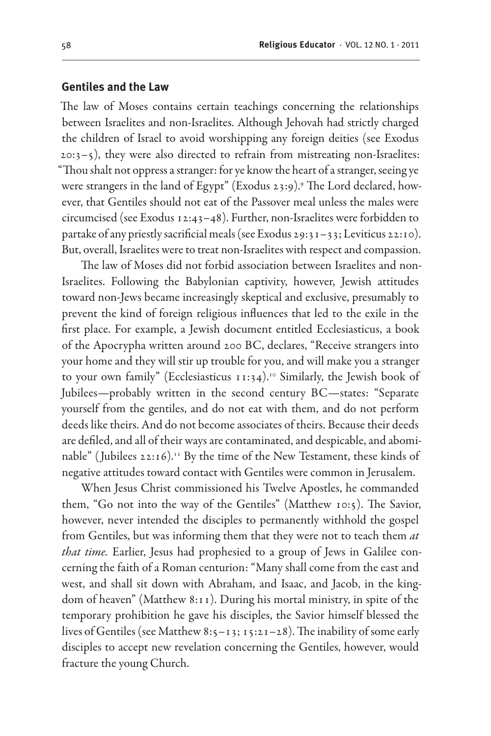#### **Gentiles and the Law**

The law of Moses contains certain teachings concerning the relationships between Israelites and non-Israelites. Although Jehovah had strictly charged the children of Israel to avoid worshipping any foreign deities (see Exodus 20:3–5), they were also directed to refrain from mistreating non-Israelites: "Thou shalt not oppress a stranger: for ye know the heart of a stranger, seeing ye were strangers in the land of Egypt" (Exodus 23:9).<sup>9</sup> The Lord declared, however, that Gentiles should not eat of the Passover meal unless the males were circumcised (see Exodus 12:43–48). Further, non-Israelites were forbidden to partake of any priestly sacrificial meals (see Exodus 29:31–33; Leviticus 22:10). But, overall, Israelites were to treat non-Israelites with respect and compassion.

The law of Moses did not forbid association between Israelites and non-Israelites. Following the Babylonian captivity, however, Jewish attitudes toward non-Jews became increasingly skeptical and exclusive, presumably to prevent the kind of foreign religious influences that led to the exile in the first place. For example, a Jewish document entitled Ecclesiasticus, a book of the Apocrypha written around 200 BC, declares, "Receive strangers into your home and they will stir up trouble for you, and will make you a stranger to your own family" (Ecclesiasticus  $11:34$ ).<sup>10</sup> Similarly, the Jewish book of Jubilees—probably written in the second century BC—states: "Separate yourself from the gentiles, and do not eat with them, and do not perform deeds like theirs. And do not become associates of theirs. Because their deeds are defiled, and all of their ways are contaminated, and despicable, and abominable" (Jubilees 22:16).<sup>11</sup> By the time of the New Testament, these kinds of negative attitudes toward contact with Gentiles were common in Jerusalem.

When Jesus Christ commissioned his Twelve Apostles, he commanded them, "Go not into the way of the Gentiles" (Matthew 10:5). The Savior, however, never intended the disciples to permanently withhold the gospel from Gentiles, but was informing them that they were not to teach them *at that time.* Earlier, Jesus had prophesied to a group of Jews in Galilee concerning the faith of a Roman centurion: "Many shall come from the east and west, and shall sit down with Abraham, and Isaac, and Jacob, in the kingdom of heaven" (Matthew 8:11). During his mortal ministry, in spite of the temporary prohibition he gave his disciples, the Savior himself blessed the lives of Gentiles (see Matthew 8:5–13; 15:21–28). The inability of some early disciples to accept new revelation concerning the Gentiles, however, would fracture the young Church.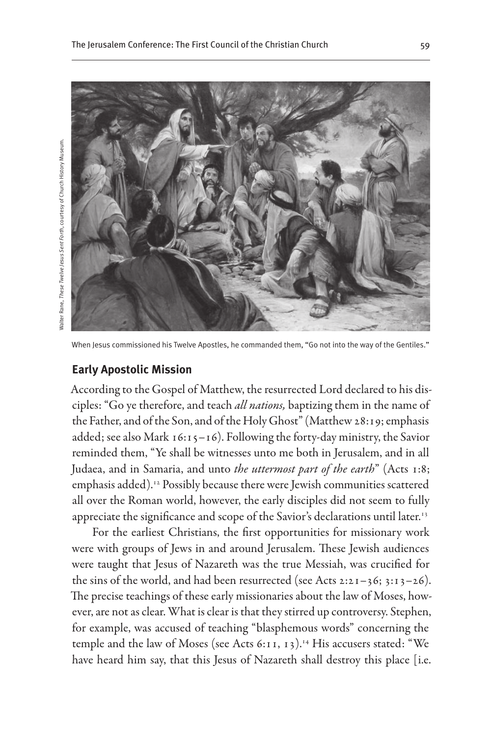

When Jesus commissioned his Twelve Apostles, he commanded them, "Go not into the way of the Gentiles."

#### **Early Apostolic Mission**

Nalter Rane, These Twelve Jesus Sent Forth, courtesy of Church History Museum. Walter Rane, *These Twelve Jesus Sent Forth,* courtesy of Church History Museum.

> According to the Gospel of Matthew, the resurrected Lord declared to his disciples: "Go ye therefore, and teach *all nations,* baptizing them in the name of the Father, and of the Son, and of the Holy Ghost" (Matthew 28:19; emphasis added; see also Mark  $16:15-16$ ). Following the forty-day ministry, the Savior reminded them, "Ye shall be witnesses unto me both in Jerusalem, and in all Judaea, and in Samaria, and unto *the uttermost part of the earth*" (Acts 1:8; emphasis added).12 Possibly because there were Jewish communities scattered all over the Roman world, however, the early disciples did not seem to fully appreciate the significance and scope of the Savior's declarations until later.<sup>13</sup>

> For the earliest Christians, the first opportunities for missionary work were with groups of Jews in and around Jerusalem. These Jewish audiences were taught that Jesus of Nazareth was the true Messiah, was crucified for the sins of the world, and had been resurrected (see Acts  $2:21-36$ ;  $3:13-26$ ). The precise teachings of these early missionaries about the law of Moses, however, are not as clear. What is clear is that they stirred up controversy. Stephen, for example, was accused of teaching "blasphemous words" concerning the temple and the law of Moses (see Acts 6:11, 13).<sup>14</sup> His accusers stated: "We have heard him say, that this Jesus of Nazareth shall destroy this place [i.e.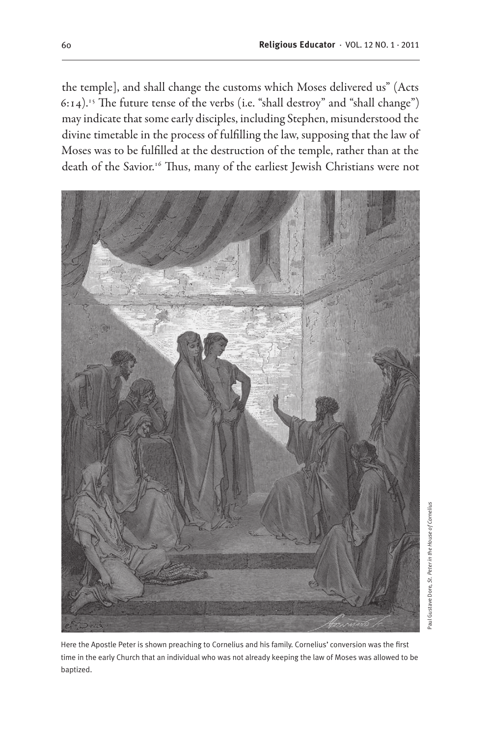the temple], and shall change the customs which Moses delivered us" (Acts 6:14).15 The future tense of the verbs (i.e. "shall destroy" and "shall change") may indicate that some early disciples, including Stephen, misunderstood the divine timetable in the process of fulfilling the law, supposing that the law of Moses was to be fulfilled at the destruction of the temple, rather than at the death of the Savior.<sup>16</sup> Thus, many of the earliest Jewish Christians were not



Here the Apostle Peter is shown preaching to Cornelius and his family. Cornelius' conversion was the first time in the early Church that an individual who was not already keeping the law of Moses was allowed to be baptized.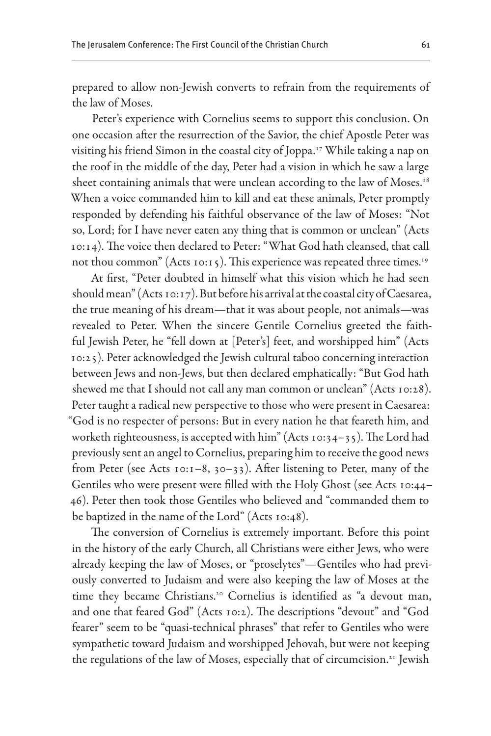prepared to allow non-Jewish converts to refrain from the requirements of the law of Moses.

Peter's experience with Cornelius seems to support this conclusion. On one occasion after the resurrection of the Savior, the chief Apostle Peter was visiting his friend Simon in the coastal city of Joppa.17 While taking a nap on the roof in the middle of the day, Peter had a vision in which he saw a large sheet containing animals that were unclean according to the law of Moses.<sup>18</sup> When a voice commanded him to kill and eat these animals, Peter promptly responded by defending his faithful observance of the law of Moses: "Not so, Lord; for I have never eaten any thing that is common or unclean" (Acts 10:14). The voice then declared to Peter: "What God hath cleansed, that call not thou common" (Acts 10:15). This experience was repeated three times.<sup>19</sup>

At first, "Peter doubted in himself what this vision which he had seen should mean" (Acts 10:17). But before his arrival at the coastal city of Caesarea, the true meaning of his dream—that it was about people, not animals—was revealed to Peter. When the sincere Gentile Cornelius greeted the faithful Jewish Peter, he "fell down at [Peter's] feet, and worshipped him" (Acts 10:25). Peter acknowledged the Jewish cultural taboo concerning interaction between Jews and non-Jews, but then declared emphatically: "But God hath shewed me that I should not call any man common or unclean" (Acts 10:28). Peter taught a radical new perspective to those who were present in Caesarea: "God is no respecter of persons: But in every nation he that feareth him, and worketh righteousness, is accepted with him" (Acts 10:34-35). The Lord had previously sent an angel to Cornelius, preparing him to receive the good news from Peter (see Acts 10:1–8, 30–33). After listening to Peter, many of the Gentiles who were present were filled with the Holy Ghost (see Acts 10:44– 46). Peter then took those Gentiles who believed and "commanded them to be baptized in the name of the Lord" (Acts 10:48).

The conversion of Cornelius is extremely important. Before this point in the history of the early Church, all Christians were either Jews, who were already keeping the law of Moses, or "proselytes"—Gentiles who had previously converted to Judaism and were also keeping the law of Moses at the time they became Christians.20 Cornelius is identified as "a devout man, and one that feared God" (Acts 10:2). The descriptions "devout" and "God fearer" seem to be "quasi-technical phrases" that refer to Gentiles who were sympathetic toward Judaism and worshipped Jehovah, but were not keeping the regulations of the law of Moses, especially that of circumcision.<sup>21</sup> Jewish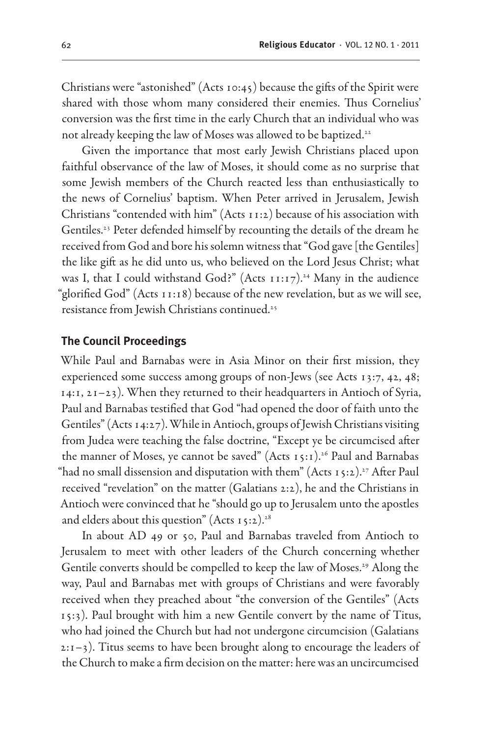Christians were "astonished" (Acts 10:45) because the gifts of the Spirit were shared with those whom many considered their enemies. Thus Cornelius' conversion was the first time in the early Church that an individual who was not already keeping the law of Moses was allowed to be baptized.<sup>22</sup>

Given the importance that most early Jewish Christians placed upon faithful observance of the law of Moses, it should come as no surprise that some Jewish members of the Church reacted less than enthusiastically to the news of Cornelius' baptism. When Peter arrived in Jerusalem, Jewish Christians "contended with him" (Acts 11:2) because of his association with Gentiles.<sup>23</sup> Peter defended himself by recounting the details of the dream he received from God and bore his solemn witness that "God gave [the Gentiles] the like gift as he did unto us, who believed on the Lord Jesus Christ; what was I, that I could withstand God?" (Acts  $11:17$ ).<sup>24</sup> Many in the audience "glorified God" (Acts 11:18) because of the new revelation, but as we will see, resistance from Jewish Christians continued.25

#### **The Council Proceedings**

While Paul and Barnabas were in Asia Minor on their first mission, they experienced some success among groups of non-Jews (see Acts 13:7, 42, 48; 14:1, 21–23). When they returned to their headquarters in Antioch of Syria, Paul and Barnabas testified that God "had opened the door of faith unto the Gentiles" (Acts 14:27). While in Antioch, groups of Jewish Christians visiting from Judea were teaching the false doctrine, "Except ye be circumcised after the manner of Moses, ye cannot be saved" (Acts 15:1).<sup>26</sup> Paul and Barnabas "had no small dissension and disputation with them" (Acts  $15:2$ ).<sup>27</sup> After Paul received "revelation" on the matter (Galatians 2:2), he and the Christians in Antioch were convinced that he "should go up to Jerusalem unto the apostles and elders about this question" (Acts  $15:2$ ).<sup>28</sup>

In about AD 49 or 50, Paul and Barnabas traveled from Antioch to Jerusalem to meet with other leaders of the Church concerning whether Gentile converts should be compelled to keep the law of Moses.<sup>29</sup> Along the way, Paul and Barnabas met with groups of Christians and were favorably received when they preached about "the conversion of the Gentiles" (Acts 15:3). Paul brought with him a new Gentile convert by the name of Titus, who had joined the Church but had not undergone circumcision (Galatians  $2:1-3$ ). Titus seems to have been brought along to encourage the leaders of the Church to make a firm decision on the matter: here was an uncircumcised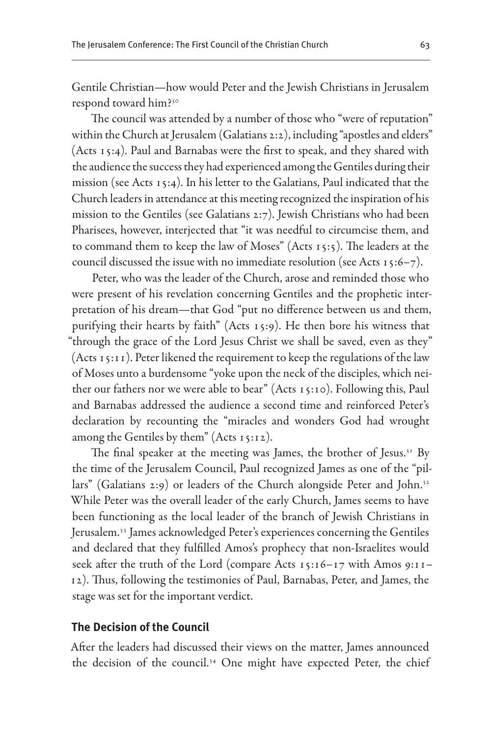Gentile Christian—how would Peter and the Jewish Christians in Jerusalem respond toward him?30

The council was attended by a number of those who "were of reputation" within the Church at Jerusalem (Galatians 2:2), including "apostles and elders" (Acts 15:4). Paul and Barnabas were the first to speak, and they shared with the audience the success they had experienced among the Gentiles during their mission (see Acts 15:4). In his letter to the Galatians, Paul indicated that the Church leaders in attendance at this meeting recognized the inspiration of his mission to the Gentiles (see Galatians 2:7). Jewish Christians who had been Pharisees, however, interjected that "it was needful to circumcise them, and to command them to keep the law of Moses" (Acts 15:5). The leaders at the council discussed the issue with no immediate resolution (see Acts 15:6–7).

Peter, who was the leader of the Church, arose and reminded those who were present of his revelation concerning Gentiles and the prophetic interpretation of his dream—that God "put no difference between us and them, purifying their hearts by faith" (Acts 15:9). He then bore his witness that "through the grace of the Lord Jesus Christ we shall be saved, even as they" (Acts 15:11). Peter likened the requirement to keep the regulations of the law of Moses unto a burdensome "yoke upon the neck of the disciples, which neither our fathers nor we were able to bear" (Acts 15:10). Following this, Paul and Barnabas addressed the audience a second time and reinforced Peter's declaration by recounting the "miracles and wonders God had wrought among the Gentiles by them" (Acts 15:12).

The final speaker at the meeting was James, the brother of Jesus.<sup>31</sup> By the time of the Jerusalem Council, Paul recognized James as one of the "pillars" (Galatians 2:9) or leaders of the Church alongside Peter and John.<sup>32</sup> While Peter was the overall leader of the early Church, James seems to have been functioning as the local leader of the branch of Jewish Christians in Jerusalem.<sup>33</sup> James acknowledged Peter's experiences concerning the Gentiles and declared that they fulfilled Amos's prophecy that non-Israelites would seek after the truth of the Lord (compare Acts 15:16–17 with Amos 9:11– 12). Thus, following the testimonies of Paul, Barnabas, Peter, and James, the stage was set for the important verdict.

#### **The Decision of the Council**

After the leaders had discussed their views on the matter, James announced the decision of the council.34 One might have expected Peter, the chief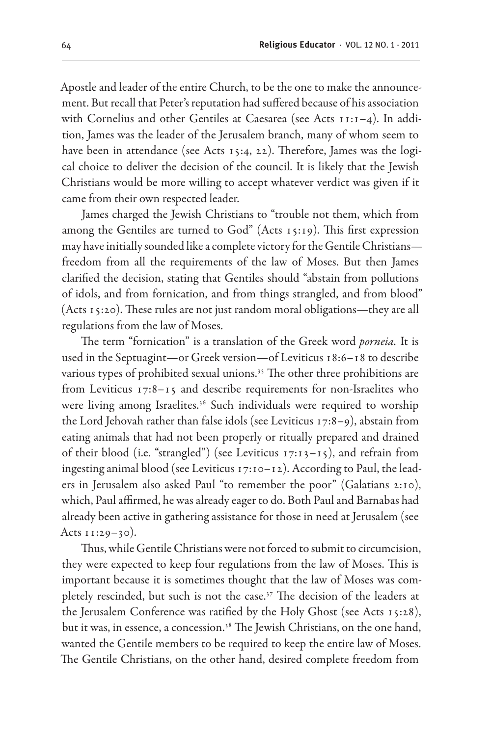Apostle and leader of the entire Church, to be the one to make the announcement. But recall that Peter's reputation had suffered because of his association with Cornelius and other Gentiles at Caesarea (see Acts 11:1–4). In addition, James was the leader of the Jerusalem branch, many of whom seem to have been in attendance (see Acts 15:4, 22). Therefore, James was the logical choice to deliver the decision of the council. It is likely that the Jewish Christians would be more willing to accept whatever verdict was given if it came from their own respected leader.

James charged the Jewish Christians to "trouble not them, which from among the Gentiles are turned to God" (Acts 15:19). This first expression may have initially sounded like a complete victory for the Gentile Christians freedom from all the requirements of the law of Moses. But then James clarified the decision, stating that Gentiles should "abstain from pollutions of idols, and from fornication, and from things strangled, and from blood" (Acts 15:20). These rules are not just random moral obligations—they are all regulations from the law of Moses.

The term "fornication" is a translation of the Greek word *porneia.* It is used in the Septuagint—or Greek version—of Leviticus 18:6–18 to describe various types of prohibited sexual unions.<sup>35</sup> The other three prohibitions are from Leviticus 17:8–15 and describe requirements for non-Israelites who were living among Israelites.<sup>36</sup> Such individuals were required to worship the Lord Jehovah rather than false idols (see Leviticus 17:8–9), abstain from eating animals that had not been properly or ritually prepared and drained of their blood (i.e. "strangled") (see Leviticus  $17:13-15$ ), and refrain from ingesting animal blood (see Leviticus 17:10–12). According to Paul, the leaders in Jerusalem also asked Paul "to remember the poor" (Galatians 2:10), which, Paul affirmed, he was already eager to do. Both Paul and Barnabas had already been active in gathering assistance for those in need at Jerusalem (see Acts  $11:29-30$ .

Thus, while Gentile Christians were not forced to submit to circumcision, they were expected to keep four regulations from the law of Moses. This is important because it is sometimes thought that the law of Moses was completely rescinded, but such is not the case.<sup>37</sup> The decision of the leaders at the Jerusalem Conference was ratified by the Holy Ghost (see Acts 15:28), but it was, in essence, a concession.<sup>38</sup> The Jewish Christians, on the one hand, wanted the Gentile members to be required to keep the entire law of Moses. The Gentile Christians, on the other hand, desired complete freedom from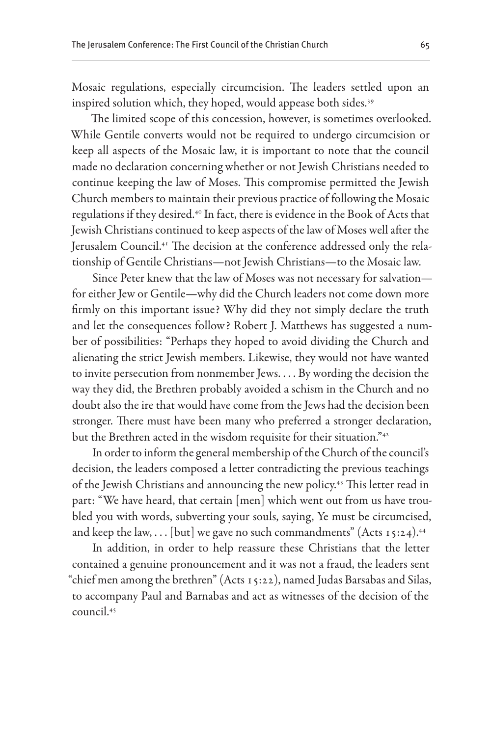Mosaic regulations, especially circumcision. The leaders settled upon an inspired solution which, they hoped, would appease both sides.<sup>39</sup>

The limited scope of this concession, however, is sometimes overlooked. While Gentile converts would not be required to undergo circumcision or keep all aspects of the Mosaic law, it is important to note that the council made no declaration concerning whether or not Jewish Christians needed to continue keeping the law of Moses. This compromise permitted the Jewish Church members to maintain their previous practice of following the Mosaic regulations if they desired.40 In fact, there is evidence in the Book of Acts that Jewish Christians continued to keep aspects of the law of Moses well after the Jerusalem Council.<sup>41</sup> The decision at the conference addressed only the relationship of Gentile Christians—not Jewish Christians—to the Mosaic law.

Since Peter knew that the law of Moses was not necessary for salvation for either Jew or Gentile—why did the Church leaders not come down more firmly on this important issue? Why did they not simply declare the truth and let the consequences follow? Robert J. Matthews has suggested a number of possibilities: "Perhaps they hoped to avoid dividing the Church and alienating the strict Jewish members. Likewise, they would not have wanted to invite persecution from nonmember Jews. . . . By wording the decision the way they did, the Brethren probably avoided a schism in the Church and no doubt also the ire that would have come from the Jews had the decision been stronger. There must have been many who preferred a stronger declaration, but the Brethren acted in the wisdom requisite for their situation."<sup>42</sup>

In order to inform the general membership of the Church of the council's decision, the leaders composed a letter contradicting the previous teachings of the Jewish Christians and announcing the new policy.43 This letter read in part: "We have heard, that certain [men] which went out from us have troubled you with words, subverting your souls, saying, Ye must be circumcised, and keep the law,  $\ldots$  [but] we gave no such commandments" (Acts 15:24).<sup>44</sup>

In addition, in order to help reassure these Christians that the letter contained a genuine pronouncement and it was not a fraud, the leaders sent "chief men among the brethren" (Acts 15:22), named Judas Barsabas and Silas, to accompany Paul and Barnabas and act as witnesses of the decision of the council.45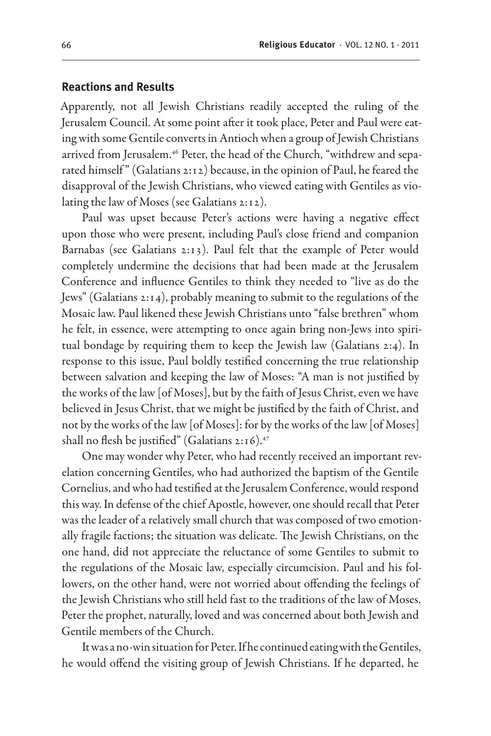#### **Reactions and Results**

Apparently, not all Jewish Christians readily accepted the ruling of the Jerusalem Council. At some point after it took place, Peter and Paul were eating with some Gentile converts in Antioch when a group of Jewish Christians arrived from Jerusalem.<sup>46</sup> Peter, the head of the Church, "withdrew and separated himself" (Galatians 2:12) because, in the opinion of Paul, he feared the disapproval of the Jewish Christians, who viewed eating with Gentiles as violating the law of Moses (see Galatians 2:12).

Paul was upset because Peter's actions were having a negative effect upon those who were present, including Paul's close friend and companion Barnabas (see Galatians 2:13). Paul felt that the example of Peter would completely undermine the decisions that had been made at the Jerusalem Conference and influence Gentiles to think they needed to "live as do the Jews" (Galatians 2:14), probably meaning to submit to the regulations of the Mosaic law. Paul likened these Jewish Christians unto "false brethren" whom he felt, in essence, were attempting to once again bring non-Jews into spiritual bondage by requiring them to keep the Jewish law (Galatians 2:4). In response to this issue, Paul boldly testified concerning the true relationship between salvation and keeping the law of Moses: "A man is not justified by the works of the law [of Moses], but by the faith of Jesus Christ, even we have believed in Jesus Christ, that we might be justified by the faith of Christ, and not by the works of the law [of Moses]: for by the works of the law [of Moses] shall no flesh be justified" (Galatians  $2:16$ ).<sup>47</sup>

One may wonder why Peter, who had recently received an important revelation concerning Gentiles, who had authorized the baptism of the Gentile Cornelius, and who had testified at the Jerusalem Conference, would respond this way. In defense of the chief Apostle, however, one should recall that Peter was the leader of a relatively small church that was composed of two emotionally fragile factions; the situation was delicate. The Jewish Christians, on the one hand, did not appreciate the reluctance of some Gentiles to submit to the regulations of the Mosaic law, especially circumcision. Paul and his followers, on the other hand, were not worried about offending the feelings of the Jewish Christians who still held fast to the traditions of the law of Moses. Peter the prophet, naturally, loved and was concerned about both Jewish and Gentile members of the Church.

It was a no-win situation for Peter. If he continued eating with the Gentiles, he would offend the visiting group of Jewish Christians. If he departed, he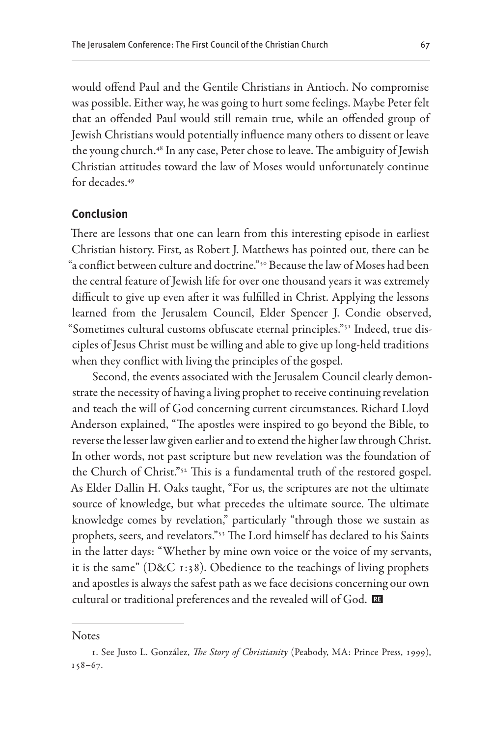would offend Paul and the Gentile Christians in Antioch. No compromise was possible. Either way, he was going to hurt some feelings. Maybe Peter felt that an offended Paul would still remain true, while an offended group of Jewish Christians would potentially influence many others to dissent or leave the young church.48 In any case, Peter chose to leave. The ambiguity of Jewish Christian attitudes toward the law of Moses would unfortunately continue for decades.49

### **Conclusion**

There are lessons that one can learn from this interesting episode in earliest Christian history. First, as Robert J. Matthews has pointed out, there can be "a conflict between culture and doctrine."50 Because the law of Moses had been the central feature of Jewish life for over one thousand years it was extremely difficult to give up even after it was fulfilled in Christ. Applying the lessons learned from the Jerusalem Council, Elder Spencer J. Condie observed, "Sometimes cultural customs obfuscate eternal principles."51 Indeed, true disciples of Jesus Christ must be willing and able to give up long-held traditions when they conflict with living the principles of the gospel.

Second, the events associated with the Jerusalem Council clearly demonstrate the necessity of having a living prophet to receive continuing revelation and teach the will of God concerning current circumstances. Richard Lloyd Anderson explained, "The apostles were inspired to go beyond the Bible, to reverse the lesser law given earlier and to extend the higher law through Christ. In other words, not past scripture but new revelation was the foundation of the Church of Christ."52 This is a fundamental truth of the restored gospel. As Elder Dallin H. Oaks taught, "For us, the scriptures are not the ultimate source of knowledge, but what precedes the ultimate source. The ultimate knowledge comes by revelation," particularly "through those we sustain as prophets, seers, and revelators."53 The Lord himself has declared to his Saints in the latter days: "Whether by mine own voice or the voice of my servants, it is the same" (D&C 1:38). Obedience to the teachings of living prophets and apostles is always the safest path as we face decisions concerning our own cultural or traditional preferences and the revealed will of God.

**Notes** 

<sup>1.</sup> See Justo L. González, *The Story of Christianity* (Peabody, MA: Prince Press, 1999),  $158 - 67.$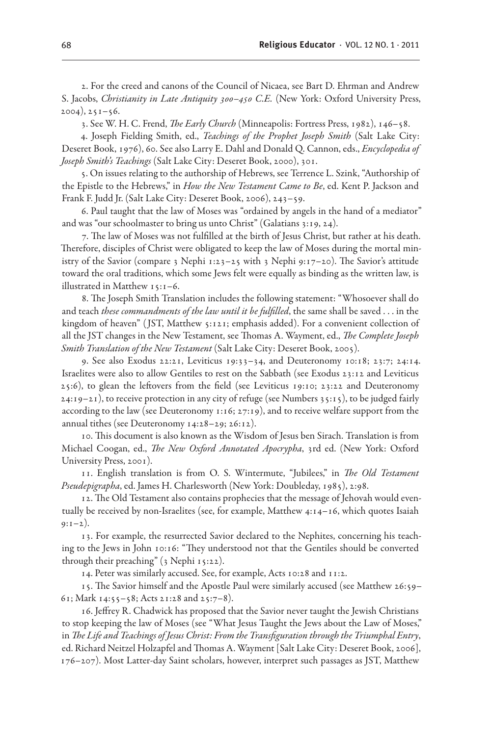2. For the creed and canons of the Council of Nicaea, see Bart D. Ehrman and Andrew S. Jacobs, *Christianity in Late Antiquity 300–450 C.E.* (New York: Oxford University Press,  $2004$ ,  $251-56$ .

3. See W. H. C. Frend, *The Early Church* (Minneapolis: Fortress Press, 1982), 146–58.

4. Joseph Fielding Smith, ed., *Teachings of the Prophet Joseph Smith* (Salt Lake City: Deseret Book, 1976), 60. See also Larry E. Dahl and Donald Q. Cannon, eds., *Encyclopedia of Joseph Smith's Teachings* (Salt Lake City: Deseret Book, 2000), 301.

5. On issues relating to the authorship of Hebrews, see Terrence L. Szink, "Authorship of the Epistle to the Hebrews," in *How the New Testament Came to Be*, ed. Kent P. Jackson and Frank F. Judd Jr. (Salt Lake City: Deseret Book, 2006), 243–59.

6. Paul taught that the law of Moses was "ordained by angels in the hand of a mediator" and was "our schoolmaster to bring us unto Christ" (Galatians 3:19, 24).

7. The law of Moses was not fulfilled at the birth of Jesus Christ, but rather at his death. Therefore, disciples of Christ were obligated to keep the law of Moses during the mortal ministry of the Savior (compare 3 Nephi 1:23-25 with 3 Nephi 9:17-20). The Savior's attitude toward the oral traditions, which some Jews felt were equally as binding as the written law, is illustrated in Matthew 15:1–6.

8. The Joseph Smith Translation includes the following statement: "Whosoever shall do and teach *these commandments of the law until it be fulfilled*, the same shall be saved . . . in the kingdom of heaven" ( JST, Matthew 5:121; emphasis added). For a convenient collection of all the JST changes in the New Testament, see Thomas A. Wayment, ed., *The Complete Joseph Smith Translation of the New Testament* (Salt Lake City: Deseret Book, 2005).

9. See also Exodus 22:21, Leviticus 19:33–34, and Deuteronomy 10:18; 23:7; 24:14. Israelites were also to allow Gentiles to rest on the Sabbath (see Exodus 23:12 and Leviticus 25:6), to glean the leftovers from the field (see Leviticus 19:10; 23:22 and Deuteronomy  $24:19-21$ , to receive protection in any city of refuge (see Numbers 35:15), to be judged fairly according to the law (see Deuteronomy 1:16; 27:19), and to receive welfare support from the annual tithes (see Deuteronomy 14:28–29; 26:12).

10. This document is also known as the Wisdom of Jesus ben Sirach. Translation is from Michael Coogan, ed., *The New Oxford Annotated Apocrypha*, 3rd ed. (New York: Oxford University Press, 2001).

11. English translation is from O. S. Wintermute, "Jubilees," in *The Old Testament Pseudepigrapha*, ed. James H. Charlesworth (New York: Doubleday, 1985), 2:98.

12. The Old Testament also contains prophecies that the message of Jehovah would eventually be received by non-Israelites (see, for example, Matthew 4:14–16, which quotes Isaiah  $9:1-2$ ).

13. For example, the resurrected Savior declared to the Nephites, concerning his teaching to the Jews in John 10:16: "They understood not that the Gentiles should be converted through their preaching" (3 Nephi 15:22).

14. Peter was similarly accused. See, for example, Acts 10:28 and 11:2.

15. The Savior himself and the Apostle Paul were similarly accused (see Matthew 26:59– 61; Mark 14:55–58; Acts 21:28 and 25:7–8).

16. Jeffrey R. Chadwick has proposed that the Savior never taught the Jewish Christians to stop keeping the law of Moses (see "What Jesus Taught the Jews about the Law of Moses," in *The Life and Teachings of Jesus Christ: From the Transfiguration through the Triumphal Entry*, ed. Richard Neitzel Holzapfel and Thomas A. Wayment [Salt Lake City: Deseret Book, 2006], 176–207). Most Latter-day Saint scholars, however, interpret such passages as JST, Matthew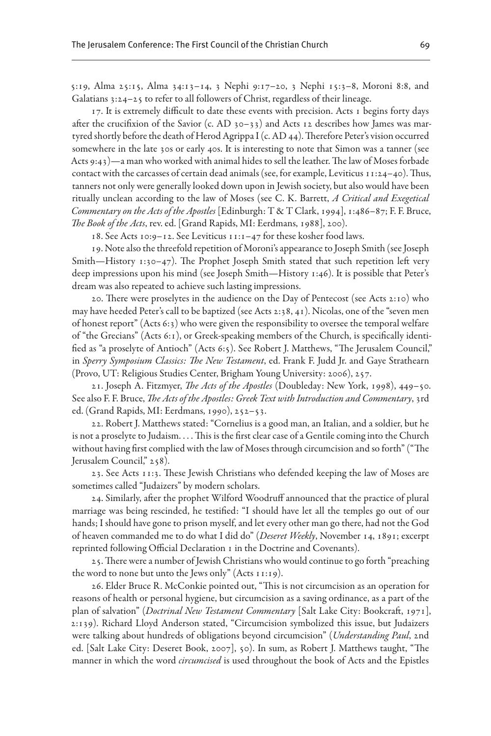5:19, Alma 25:15, Alma 34:13–14, 3 Nephi 9:17–20, 3 Nephi 15:3–8, Moroni 8:8, and Galatians 3:24–25 to refer to all followers of Christ, regardless of their lineage.

17. It is extremely difficult to date these events with precision. Acts 1 begins forty days after the crucifixion of the Savior (c. AD 30–33) and Acts 12 describes how James was martyred shortly before the death of Herod Agrippa I (c. AD 44). Therefore Peter's vision occurred somewhere in the late 30s or early 40s. It is interesting to note that Simon was a tanner (see Acts 9:43)—a man who worked with animal hides to sell the leather. The law of Moses forbade contact with the carcasses of certain dead animals (see, for example, Leviticus 11:24–40). Thus, tanners not only were generally looked down upon in Jewish society, but also would have been ritually unclean according to the law of Moses (see C. K. Barrett, *A Critical and Exegetical Commentary on the Acts of the Apostles* [Edinburgh: T & T Clark, 1994], 1:486–87; F. F. Bruce, *The Book of the Acts*, rev. ed. [Grand Rapids, MI: Eerdmans, 1988], 200).

18. See Acts 10:9–12. See Leviticus 11:1–47 for these kosher food laws.

19. Note also the threefold repetition of Moroni's appearance to Joseph Smith (see Joseph Smith—History 1:30–47). The Prophet Joseph Smith stated that such repetition left very deep impressions upon his mind (see Joseph Smith—History 1:46). It is possible that Peter's dream was also repeated to achieve such lasting impressions.

20. There were proselytes in the audience on the Day of Pentecost (see Acts 2:10) who may have heeded Peter's call to be baptized (see Acts 2:38, 41). Nicolas, one of the "seven men of honest report" (Acts 6:3) who were given the responsibility to oversee the temporal welfare of "the Grecians" (Acts 6:1), or Greek-speaking members of the Church, is specifically identified as "a proselyte of Antioch" (Acts 6:5). See Robert J. Matthews, "The Jerusalem Council," in *Sperry Symposium Classics: The New Testament*, ed. Frank F. Judd Jr. and Gaye Strathearn (Provo, UT: Religious Studies Center, Brigham Young University: 2006), 257.

21. Joseph A. Fitzmyer, *The Acts of the Apostles* (Doubleday: New York, 1998), 449–50. See also F. F. Bruce, *The Acts of the Apostles: Greek Text with Introduction and Commentary*, 3rd ed. (Grand Rapids, MI: Eerdmans, 1990), 252–53.

22. Robert J. Matthews stated: "Cornelius is a good man, an Italian, and a soldier, but he is not a proselyte to Judaism. . . . This is the first clear case of a Gentile coming into the Church without having first complied with the law of Moses through circumcision and so forth" ("The Jerusalem Council," 258).

23. See Acts 11:3. These Jewish Christians who defended keeping the law of Moses are sometimes called "Judaizers" by modern scholars.

24. Similarly, after the prophet Wilford Woodruff announced that the practice of plural marriage was being rescinded, he testified: "I should have let all the temples go out of our hands; I should have gone to prison myself, and let every other man go there, had not the God of heaven commanded me to do what I did do" (*Deseret Weekly*, November 14, 1891; excerpt reprinted following Official Declaration 1 in the Doctrine and Covenants).

25. There were a number of Jewish Christians who would continue to go forth "preaching the word to none but unto the Jews only" (Acts 11:19).

26. Elder Bruce R. McConkie pointed out, "This is not circumcision as an operation for reasons of health or personal hygiene, but circumcision as a saving ordinance, as a part of the plan of salvation" (*Doctrinal New Testament Commentary* [Salt Lake City: Bookcraft, 1971], 2:139). Richard Lloyd Anderson stated, "Circumcision symbolized this issue, but Judaizers were talking about hundreds of obligations beyond circumcision" (*Understanding Paul*, 2nd ed. [Salt Lake City: Deseret Book, 2007], 50). In sum, as Robert J. Matthews taught, "The manner in which the word *circumcised* is used throughout the book of Acts and the Epistles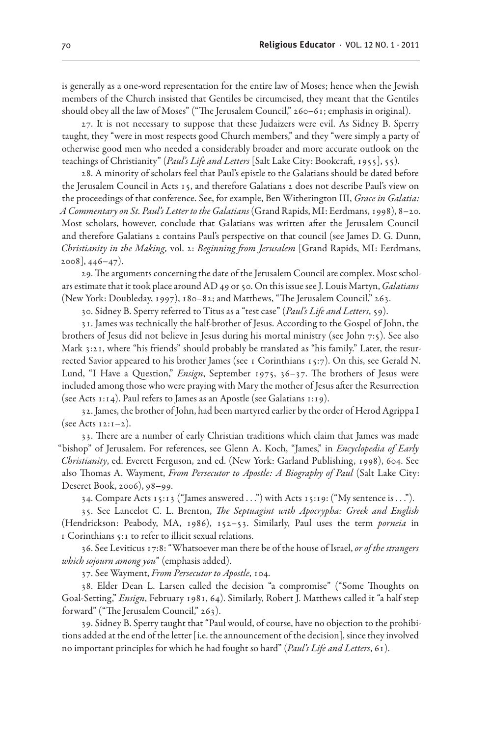is generally as a one-word representation for the entire law of Moses; hence when the Jewish members of the Church insisted that Gentiles be circumcised, they meant that the Gentiles should obey all the law of Moses" ("The Jerusalem Council," 260–61; emphasis in original).

27. It is not necessary to suppose that these Judaizers were evil. As Sidney B. Sperry taught, they "were in most respects good Church members," and they "were simply a party of otherwise good men who needed a considerably broader and more accurate outlook on the teachings of Christianity" (*Paul's Life and Letters* [Salt Lake City: Bookcraft, 1955], 55).

28. A minority of scholars feel that Paul's epistle to the Galatians should be dated before the Jerusalem Council in Acts 15, and therefore Galatians 2 does not describe Paul's view on the proceedings of that conference. See, for example, Ben Witherington III, *Grace in Galatia: A Commentary on St. Paul's Letter to the Galatians* (Grand Rapids, MI: Eerdmans, 1998), 8–20. Most scholars, however, conclude that Galatians was written after the Jerusalem Council and therefore Galatians 2 contains Paul's perspective on that council (see James D. G. Dunn, *Christianity in the Making,* vol. 2: *Beginning from Jerusalem* [Grand Rapids, MI: Eerdmans,  $2008$ ,  $446-47$ ).

29. The arguments concerning the date of the Jerusalem Council are complex. Most scholars estimate that it took place around AD 49 or 50. On this issue see J. Louis Martyn, *Galatians* (New York: Doubleday, 1997), 180–82; and Matthews, "The Jerusalem Council," 263.

30. Sidney B. Sperry referred to Titus as a "test case" (*Paul's Life and Letters*, 59).

31. James was technically the half-brother of Jesus. According to the Gospel of John, the brothers of Jesus did not believe in Jesus during his mortal ministry (see John 7:5). See also Mark 3:21, where "his friends" should probably be translated as "his family." Later, the resurrected Savior appeared to his brother James (see 1 Corinthians 15:7). On this, see Gerald N. Lund, "I Have a Question," *Ensign*, September 1975, 36–37. The brothers of Jesus were included among those who were praying with Mary the mother of Jesus after the Resurrection (see Acts 1:14). Paul refers to James as an Apostle (see Galatians 1:19).

32. James, the brother of John, had been martyred earlier by the order of Herod Agrippa I (see Acts  $12:1-2$ ).

33. There are a number of early Christian traditions which claim that James was made "bishop" of Jerusalem. For references, see Glenn A. Koch, "James," in *Encyclopedia of Early Christianity*, ed. Everett Ferguson, 2nd ed. (New York: Garland Publishing, 1998), 604. See also Thomas A. Wayment, *From Persecutor to Apostle: A Biography of Paul* (Salt Lake City: Deseret Book, 2006), 98–99.

34. Compare Acts 15:13 ("James answered . . .") with Acts 15:19: ("My sentence is . . .").

35. See Lancelot C. L. Brenton, *The Septuagint with Apocrypha: Greek and English* (Hendrickson: Peabody, MA, 1986), 152–53. Similarly, Paul uses the term *porneia* in 1 Corinthians 5:1 to refer to illicit sexual relations.

36. See Leviticus 17:8: "Whatsoever man there be of the house of Israel, *or of the strangers which sojourn among you*" (emphasis added).

37. See Wayment, *From Persecutor to Apostle*, 104.

38. Elder Dean L. Larsen called the decision "a compromise" ("Some Thoughts on Goal-Setting," *Ensign*, February 1981, 64). Similarly, Robert J. Matthews called it "a half step forward" ("The Jerusalem Council," 263).

39. Sidney B. Sperry taught that "Paul would, of course, have no objection to the prohibitions added at the end of the letter [i.e. the announcement of the decision], since they involved no important principles for which he had fought so hard" (*Paul's Life and Letters*, 61).